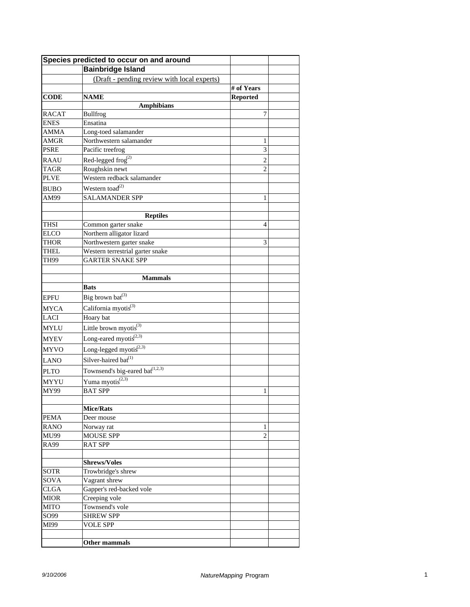|              | Species predicted to occur on and around                 |                 |  |
|--------------|----------------------------------------------------------|-----------------|--|
|              | <b>Bainbridge Island</b>                                 |                 |  |
|              | (Draft - pending review with local experts)              |                 |  |
|              |                                                          | # of Years      |  |
| <b>CODE</b>  | <b>NAME</b>                                              | <b>Reported</b> |  |
|              | <b>Amphibians</b>                                        |                 |  |
| <b>RACAT</b> | <b>Bullfrog</b>                                          | 7               |  |
| <b>ENES</b>  | Ensatina                                                 |                 |  |
| <b>AMMA</b>  | Long-toed salamander                                     |                 |  |
| AMGR         | Northwestern salamander                                  | 1               |  |
| <b>PSRE</b>  | Pacific treefrog                                         | 3               |  |
| <b>RAAU</b>  | Red-legged frog <sup>(2)</sup>                           | $\overline{2}$  |  |
| <b>TAGR</b>  | Roughskin newt                                           | $\overline{2}$  |  |
| <b>PLVE</b>  | Western redback salamander                               |                 |  |
| <b>BUBO</b>  | Western toad <sup>(2)</sup>                              |                 |  |
| AM99         | <b>SALAMANDER SPP</b>                                    | 1               |  |
|              |                                                          |                 |  |
|              | <b>Reptiles</b>                                          |                 |  |
| <b>THSI</b>  | Common garter snake                                      | 4               |  |
| <b>ELCO</b>  | Northern alligator lizard                                |                 |  |
| <b>THOR</b>  | Northwestern garter snake                                | 3               |  |
| <b>THEL</b>  | Western terrestrial garter snake                         |                 |  |
| <b>TH99</b>  | <b>GARTER SNAKE SPP</b>                                  |                 |  |
|              |                                                          |                 |  |
|              | <b>Mammals</b>                                           |                 |  |
|              | <b>Bats</b>                                              |                 |  |
| <b>EPFU</b>  | Big brown bat <sup>(3)</sup>                             |                 |  |
| <b>MYCA</b>  | California myotis <sup>(3)</sup>                         |                 |  |
| <b>LACI</b>  | Hoary bat                                                |                 |  |
| <b>MYLU</b>  | Little brown myotis $^{(3)}$                             |                 |  |
| <b>MYEV</b>  | Long-eared myotis $^{(2,3)}$                             |                 |  |
| <b>MYVO</b>  | Long-legged myotis $^{(2,3)}$                            |                 |  |
|              | Silver-haired bat <sup>(1)</sup>                         |                 |  |
| <b>LANO</b>  |                                                          |                 |  |
| <b>PLTO</b>  | Townsend's big-eared bat <sup><math>(1,2,3)</math></sup> |                 |  |
| <b>MYYU</b>  | Yuma myotis $(2,3)$                                      |                 |  |
| <b>MY99</b>  | <b>BAT SPP</b>                                           | 1               |  |
|              |                                                          |                 |  |
|              | <b>Mice/Rats</b>                                         |                 |  |
| <b>PEMA</b>  | Deer mouse                                               |                 |  |
| <b>RANO</b>  | Norway rat                                               | 1               |  |
| MU99         | <b>MOUSE SPP</b>                                         | $\overline{2}$  |  |
| <b>RA99</b>  | <b>RAT SPP</b>                                           |                 |  |
|              | <b>Shrews/Voles</b>                                      |                 |  |
| <b>SOTR</b>  | Trowbridge's shrew                                       |                 |  |
| SOVA         | Vagrant shrew                                            |                 |  |
| <b>CLGA</b>  | Gapper's red-backed vole                                 |                 |  |
| <b>MIOR</b>  | Creeping vole                                            |                 |  |
| <b>MITO</b>  | Townsend's vole                                          |                 |  |
| SO99         | <b>SHREW SPP</b>                                         |                 |  |
| MI99         | <b>VOLE SPP</b>                                          |                 |  |
|              |                                                          |                 |  |
|              | Other mammals                                            |                 |  |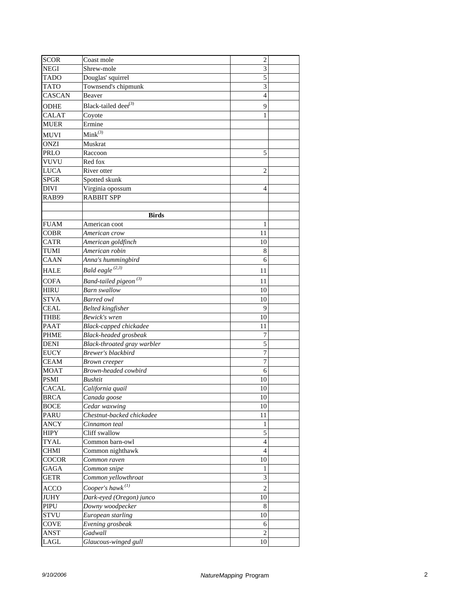| <b>SCOR</b>                | Coast mole                                 | $\overline{2}$   |  |
|----------------------------|--------------------------------------------|------------------|--|
| <b>NEGI</b>                | Shrew-mole                                 | 3                |  |
| <b>TADO</b>                | Douglas' squirrel                          | 5                |  |
| <b>TATO</b>                | Townsend's chipmunk                        | 3                |  |
| <b>CASCAN</b>              | Beaver                                     | 4                |  |
| ODHE                       | Black-tailed deer <sup>(3)</sup>           | 9                |  |
| <b>CALAT</b>               | Coyote                                     | 1                |  |
| <b>MUER</b>                | Ermine                                     |                  |  |
| MUVI                       | $Mink^{(3)}$                               |                  |  |
| <b>ONZI</b>                | Muskrat                                    |                  |  |
| PRLO                       | Raccoon                                    | 5                |  |
| VUVU                       | Red fox                                    |                  |  |
| <b>LUCA</b>                | River otter                                | 2                |  |
| <b>SPGR</b>                | Spotted skunk                              |                  |  |
| DIVI                       |                                            | 4                |  |
| RAB99                      | Virginia opossum<br><b>RABBIT SPP</b>      |                  |  |
|                            |                                            |                  |  |
|                            | <b>Birds</b>                               |                  |  |
| <b>FUAM</b>                | American coot                              | 1                |  |
| COBR                       | American crow                              | 11               |  |
| <b>CATR</b>                | American goldfinch                         | 10               |  |
| <b>TUMI</b>                | American robin                             | 8                |  |
| <b>CAAN</b>                | Anna's hummingbird                         | 6                |  |
| <b>HALE</b>                | Bald eagle <sup>(2,3)</sup>                |                  |  |
|                            |                                            | 11               |  |
| <b>COFA</b>                | Band-tailed pigeon <sup>(3)</sup>          | 11               |  |
| <b>HIRU</b>                | <b>Barn</b> swallow                        | 10               |  |
| <b>STVA</b>                | <b>Barred</b> owl                          | 10               |  |
| <b>CEAL</b>                | <b>Belted kingfisher</b>                   | 9                |  |
| THBE                       | Bewick's wren                              | 10               |  |
| <b>PAAT</b>                | Black-capped chickadee                     | 11               |  |
| <b>PHME</b>                | Black-headed grosbeak                      | 7                |  |
| <b>DENI</b>                | Black-throated gray warbler                | 5                |  |
| <b>EUCY</b>                | Brewer's blackbird                         | $\overline{7}$   |  |
| <b>CEAM</b>                | Brown creeper                              | $\overline{7}$   |  |
| <b>MOAT</b><br><b>PSMI</b> | Brown-headed cowbird                       | 6                |  |
| CACAL                      | Bushtit                                    | 10               |  |
| <b>BRCA</b>                | California quail<br>Canada goose           | 10<br>10         |  |
|                            |                                            | 10               |  |
| BOCE<br>PARU               | Cedar waxwing<br>Chestnut-backed chickadee | 11               |  |
| <b>ANCY</b>                | Cinnamon teal                              | 1                |  |
| <b>HIPY</b>                | Cliff swallow                              | $\sqrt{5}$       |  |
| <b>TYAL</b>                | Common barn-owl                            | $\overline{4}$   |  |
| <b>CHMI</b>                | Common nighthawk                           | 4                |  |
| COCOR                      | Common raven                               | 10               |  |
| <b>GAGA</b>                |                                            | 1                |  |
| <b>GETR</b>                | Common snipe<br>Common yellowthroat        | 3                |  |
|                            | Cooper's hawk $^{(1)}$                     |                  |  |
| <b>ACCO</b>                |                                            | $\boldsymbol{2}$ |  |
| JUHY                       | Dark-eyed (Oregon) junco                   | 10               |  |
| PIPU                       | Downy woodpecker                           | 8                |  |
| <b>STVU</b>                | European starling                          | 10               |  |
| COVE                       | Evening grosbeak                           | 6                |  |
| ANST                       | Gadwall                                    | 2                |  |
| LAGL                       | Glaucous-winged gull                       | 10               |  |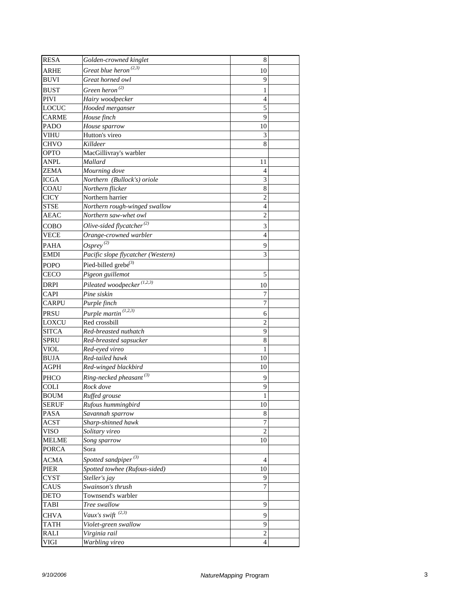| <b>RESA</b>  | Golden-crowned kinglet              | 8              |  |
|--------------|-------------------------------------|----------------|--|
| <b>ARHE</b>  | Great blue heron <sup>(2,3)</sup>   | 10             |  |
| <b>BUVI</b>  | Great horned owl                    | 9              |  |
| <b>BUST</b>  | Green heron $^{(2)}$                | 1              |  |
| <b>PIVI</b>  | Hairy woodpecker                    | $\overline{4}$ |  |
| <b>LOCUC</b> | Hooded merganser                    | 5              |  |
| <b>CARME</b> | House finch                         | 9              |  |
| PADO         | House sparrow                       | 10             |  |
| <b>VIHU</b>  | Hutton's vireo                      | 3              |  |
| <b>CHVO</b>  | Killdeer                            | 8              |  |
| <b>OPTO</b>  | MacGillivray's warbler              |                |  |
| <b>ANPL</b>  | Mallard                             | 11             |  |
| <b>ZEMA</b>  | Mourning dove                       | 4              |  |
| <b>ICGA</b>  | Northern (Bullock's) oriole         | 3              |  |
| COAU         | Northern flicker                    | 8              |  |
| <b>CICY</b>  | Northern harrier                    | 2              |  |
| <b>STSE</b>  | Northern rough-winged swallow       | 4              |  |
| AEAC         | Northern saw-whet owl               | $\overline{2}$ |  |
| COBO         | Olive-sided flycatcher $^{(2)}$     | 3              |  |
| <b>VECE</b>  | Orange-crowned warbler              | 4              |  |
| <b>PAHA</b>  | $O$ spre $v^{(2)}$                  | 9              |  |
| EMDI         | Pacific slope flycatcher (Western)  | 3              |  |
| <b>POPO</b>  | Pied-billed grebe <sup>(3)</sup>    |                |  |
| CECO         | Pigeon guillemot                    | 5              |  |
|              |                                     |                |  |
| <b>DRPI</b>  | Pileated woodpecker $(1,2,3)$       | 10             |  |
| CAPI         | Pine siskin                         | 7              |  |
| <b>CARPU</b> | Purple finch                        | $\overline{7}$ |  |
| <b>PRSU</b>  | Purple martin <sup>(1,2,3)</sup>    | 6              |  |
| <b>LOXCU</b> | Red crossbill                       | $\overline{2}$ |  |
| <b>SITCA</b> | Red-breasted nuthatch               | 9              |  |
| <b>SPRU</b>  | Red-breasted sapsucker              | 8              |  |
| VIOL         | Red-eyed vireo                      | 1              |  |
| BUJA         | Red-tailed hawk                     | 10             |  |
| AGPH         | Red-winged blackbird                | 10             |  |
| PHCO         | Ring-necked pheasant <sup>(3)</sup> | 9              |  |
| <b>COLI</b>  | Rock dove                           | 9              |  |
| <b>BOUM</b>  | Ruffed grouse                       | $\mathbf{1}$   |  |
| <b>SERUF</b> | Rufous hummingbird                  | 10             |  |
| PASA         | Savannah sparrow                    | 8              |  |
| ACST         | Sharp-shinned hawk                  | $\overline{7}$ |  |
| VISO         | Solitary vireo                      | $\overline{c}$ |  |
| <b>MELME</b> | Song sparrow                        | 10             |  |
| <b>PORCA</b> | Sora                                |                |  |
| <b>ACMA</b>  | Spotted sandpiper <sup>(3)</sup>    | 4              |  |
| PIER         | Spotted towhee (Rufous-sided)       | 10             |  |
| CYST         | Steller's jay                       | 9              |  |
| CAUS         | Swainson's thrush                   | $\overline{7}$ |  |
| DETO         | Townsend's warbler                  |                |  |
| <b>TABI</b>  | Tree swallow                        | 9              |  |
| <b>CHVA</b>  | Vaux's swift $(2,3)$                | 9              |  |
| TATH         | Violet-green swallow                | 9              |  |
| RALI         | Virginia rail                       | $\overline{c}$ |  |
| VIGI         | Warbling vireo                      | 4              |  |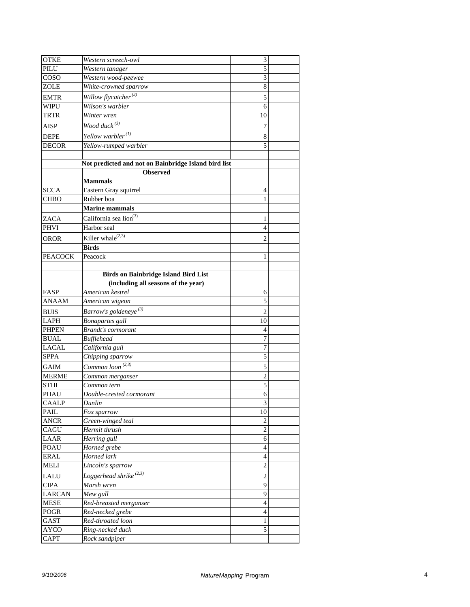| <b>OTKE</b>    | Western screech-owl                                  | 3              |  |
|----------------|------------------------------------------------------|----------------|--|
| PILU           | Western tanager                                      | 5              |  |
| COSO           | Western wood-peewee                                  | 3              |  |
| ZOLE           | White-crowned sparrow                                | 8              |  |
| <b>EMTR</b>    | Willow flycatcher <sup>(2)</sup>                     | 5              |  |
| <b>WIPU</b>    | Wilson's warbler                                     | 6              |  |
| <b>TRTR</b>    | Winter wren                                          | 10             |  |
| <b>AISP</b>    | Wood duck $(3)$                                      | 7              |  |
| <b>DEPE</b>    | Yellow warbler <sup>(1)</sup>                        | 8              |  |
| <b>DECOR</b>   | Yellow-rumped warbler                                | 5              |  |
|                |                                                      |                |  |
|                | Not predicted and not on Bainbridge Island bird list |                |  |
|                | <b>Observed</b>                                      |                |  |
|                | <b>Mammals</b>                                       |                |  |
| <b>SCCA</b>    | Eastern Gray squirrel                                | 4              |  |
| CHBO           | Rubber boa                                           | 1              |  |
|                | <b>Marine mammals</b>                                |                |  |
| <b>ZACA</b>    | California sea lion <sup>(3)</sup>                   | 1              |  |
| <b>PHVI</b>    | Harbor seal                                          | 4              |  |
| OROR           | Killer whale $^{(2,3)}$                              | 2              |  |
|                | <b>Birds</b>                                         |                |  |
| <b>PEACOCK</b> | Peacock                                              | 1              |  |
|                |                                                      |                |  |
|                | <b>Birds on Bainbridge Island Bird List</b>          |                |  |
|                | (including all seasons of the year)                  |                |  |
| FASP           | American kestrel                                     | 6              |  |
| ANAAM          | American wigeon                                      | 5              |  |
| <b>BUIS</b>    | Barrow's goldeneye <sup>(3)</sup>                    | 2              |  |
| <b>LAPH</b>    | Bonapartes gull                                      | 10             |  |
| <b>PHPEN</b>   | <b>Brandt's cormorant</b>                            | 4              |  |
| <b>BUAL</b>    | <b>Bufflehead</b>                                    | $\overline{7}$ |  |
| <b>LACAL</b>   | California gull                                      | $\overline{7}$ |  |
| <b>SPPA</b>    | Chipping sparrow                                     | 5              |  |
| <b>GAIM</b>    | Common loon <sup><math>(2,3)</math></sup>            | 5              |  |
| <b>MERME</b>   | Common merganser                                     | $\overline{c}$ |  |
| <b>STHI</b>    | Common tern                                          | 5              |  |
| <b>PHAU</b>    | Double-crested cormorant                             | 6              |  |
| <b>CAALP</b>   | Dunlin                                               | 3              |  |
| PAIL           | Fox sparrow                                          | 10             |  |
| <b>ANCR</b>    | Green-winged teal                                    | $\overline{c}$ |  |
| CAGU           | Hermit thrush                                        | $\overline{2}$ |  |
| LAAR           | Herring gull                                         | 6              |  |
| <b>POAU</b>    | Horned grebe                                         | 4              |  |
| <b>ERAL</b>    | Horned lark                                          | 4              |  |
| MELI           | Lincoln's sparrow                                    | $\overline{2}$ |  |
| <b>LALU</b>    | Loggerhead shrike $(2,3)$                            | $\mathbf{2}$   |  |
| <b>CIPA</b>    | Marsh wren                                           | 9              |  |
| <b>LARCAN</b>  | Mew gull                                             | 9              |  |
| <b>MESE</b>    | Red-breasted merganser                               | 4              |  |
| POGR           | Red-necked grebe                                     | $\overline{4}$ |  |
| <b>GAST</b>    | Red-throated loon                                    | 1              |  |
| <b>AYCO</b>    | Ring-necked duck                                     | 5              |  |
| <b>CAPT</b>    | Rock sandpiper                                       |                |  |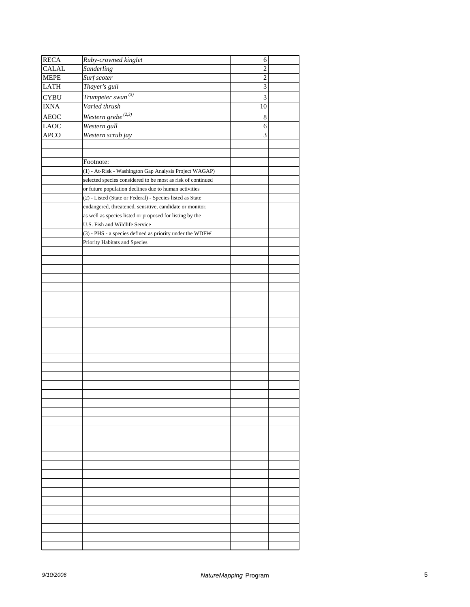| <b>RECA</b>  | Ruby-crowned kinglet                                        | 6              |  |
|--------------|-------------------------------------------------------------|----------------|--|
| <b>CALAL</b> | Sanderling                                                  | 2              |  |
| <b>MEPE</b>  | Surf scoter                                                 | $\overline{c}$ |  |
| <b>LATH</b>  | Thayer's gull                                               | 3              |  |
|              |                                                             |                |  |
| <b>CYBU</b>  | Trumpeter swan $^{(3)}$                                     | 3              |  |
| <b>IXNA</b>  | Varied thrush                                               | 10             |  |
| <b>AEOC</b>  | Western grebe $^{(2,3)}$                                    | 8              |  |
| <b>LAOC</b>  | Western gull                                                | 6              |  |
| <b>APCO</b>  | Western scrub jay                                           | 3              |  |
|              |                                                             |                |  |
|              |                                                             |                |  |
|              | Footnote:                                                   |                |  |
|              | (1) - At-Risk - Washington Gap Analysis Project WAGAP)      |                |  |
|              | selected species considered to be most as risk of continued |                |  |
|              | or future population declines due to human activities       |                |  |
|              | (2) - Listed (State or Federal) - Species listed as State   |                |  |
|              | endangered, threatened, sensitive, candidate or monitor,    |                |  |
|              | as well as species listed or proposed for listing by the    |                |  |
|              | U.S. Fish and Wildlife Service                              |                |  |
|              | (3) - PHS - a species defined as priority under the WDFW    |                |  |
|              | Priority Habitats and Species                               |                |  |
|              |                                                             |                |  |
|              |                                                             |                |  |
|              |                                                             |                |  |
|              |                                                             |                |  |
|              |                                                             |                |  |
|              |                                                             |                |  |
|              |                                                             |                |  |
|              |                                                             |                |  |
|              |                                                             |                |  |
|              |                                                             |                |  |
|              |                                                             |                |  |
|              |                                                             |                |  |
|              |                                                             |                |  |
|              |                                                             |                |  |
|              |                                                             |                |  |
|              |                                                             |                |  |
|              |                                                             |                |  |
|              |                                                             |                |  |
|              |                                                             |                |  |
|              |                                                             |                |  |
|              |                                                             |                |  |
|              |                                                             |                |  |
|              |                                                             |                |  |
|              |                                                             |                |  |
|              |                                                             |                |  |
|              |                                                             |                |  |
|              |                                                             |                |  |
|              |                                                             |                |  |
|              |                                                             |                |  |
|              |                                                             |                |  |
|              |                                                             |                |  |
|              |                                                             |                |  |
|              |                                                             |                |  |
|              |                                                             |                |  |